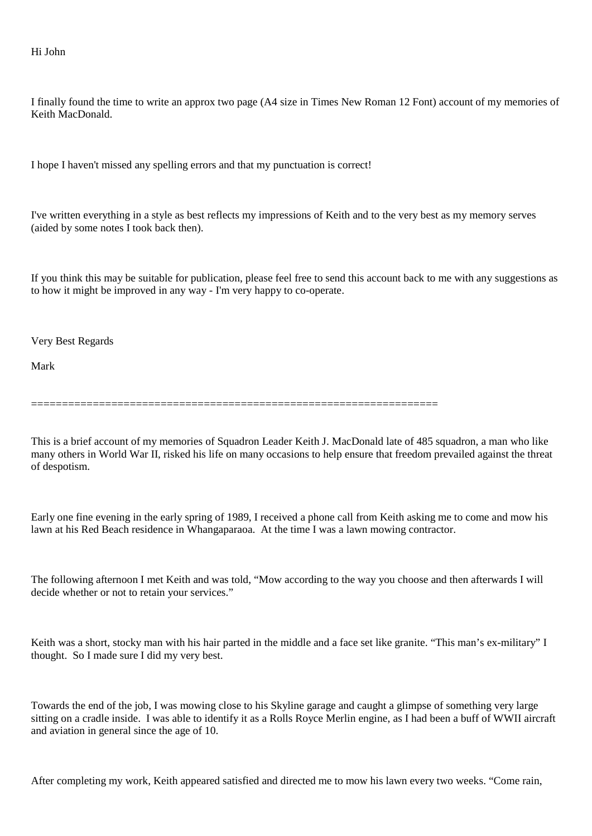## Hi John

I finally found the time to write an approx two page (A4 size in Times New Roman 12 Font) account of my memories of Keith MacDonald.

I hope I haven't missed any spelling errors and that my punctuation is correct!

I've written everything in a style as best reflects my impressions of Keith and to the very best as my memory serves (aided by some notes I took back then).

If you think this may be suitable for publication, please feel free to send this account back to me with any suggestions as to how it might be improved in any way - I'm very happy to co-operate.

Very Best Regards

Mark

==================================================================

This is a brief account of my memories of Squadron Leader Keith J. MacDonald late of 485 squadron, a man who like many others in World War II, risked his life on many occasions to help ensure that freedom prevailed against the threat of despotism.

Early one fine evening in the early spring of 1989, I received a phone call from Keith asking me to come and mow his lawn at his Red Beach residence in Whangaparaoa. At the time I was a lawn mowing contractor.

The following afternoon I met Keith and was told, "Mow according to the way you choose and then afterwards I will decide whether or not to retain your services."

Keith was a short, stocky man with his hair parted in the middle and a face set like granite. "This man's ex-military" I thought. So I made sure I did my very best.

Towards the end of the job, I was mowing close to his Skyline garage and caught a glimpse of something very large sitting on a cradle inside. I was able to identify it as a Rolls Royce Merlin engine, as I had been a buff of WWII aircraft and aviation in general since the age of 10.

After completing my work, Keith appeared satisfied and directed me to mow his lawn every two weeks. "Come rain,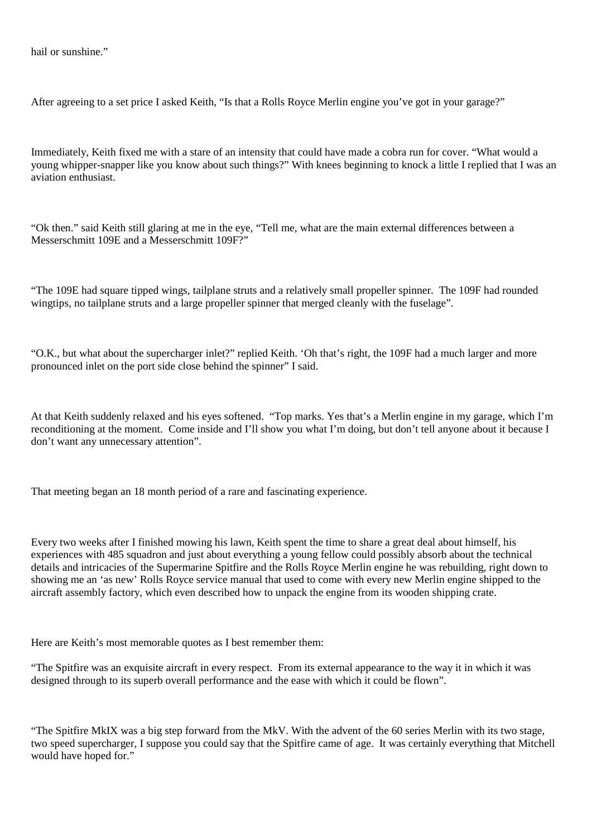hail or sunshine."

After agreeing to a set price I asked Keith, "Is that a Rolls Royce Merlin engine you've got in your garage?"

Immediately, Keith fixed me with a stare of an intensity that could have made a cobra run for cover. "What would a young whipper-snapper like you know about such things?" With knees beginning to knock a little I replied that I was an aviation enthusiast.

"Ok then." said Keith still glaring at me in the eye, "Tell me, what are the main external differences between a Messerschmitt 109E and a Messerschmitt 109F?"

"The 109E had square tipped wings, tailplane struts and a relatively small propeller spinner. The 109F had rounded wingtips, no tailplane struts and a large propeller spinner that merged cleanly with the fuselage".

"O.K., but what about the supercharger inlet?" replied Keith. 'Oh that's right, the 109F had a much larger and more pronounced inlet on the port side close behind the spinner" I said.

At that Keith suddenly relaxed and his eyes softened. "Top marks. Yes that's a Merlin engine in my garage, which I'm reconditioning at the moment. Come inside and I'll show you what I'm doing, but don't tell anyone about it because I don't want any unnecessary attention".

That meeting began an 18 month period of a rare and fascinating experience.

Every two weeks after I finished mowing his lawn, Keith spent the time to share a great deal about himself, his experiences with 485 squadron and just about everything a young fellow could possibly absorb about the technical details and intricacies of the Supermarine Spitfire and the Rolls Royce Merlin engine he was rebuilding, right down to showing me an 'as new' Rolls Royce service manual that used to come with every new Merlin engine shipped to the aircraft assembly factory, which even described how to unpack the engine from its wooden shipping crate.

Here are Keith's most memorable quotes as I best remember them:

"The Spitfire was an exquisite aircraft in every respect. From its external appearance to the way it in which it was designed through to its superb overall performance and the ease with which it could be flown".

"The Spitfire MkIX was a big step forward from the MkV. With the advent of the 60 series Merlin with its two stage, two speed supercharger, I suppose you could say that the Spitfire came of age. It was certainly everything that Mitchell would have hoped for."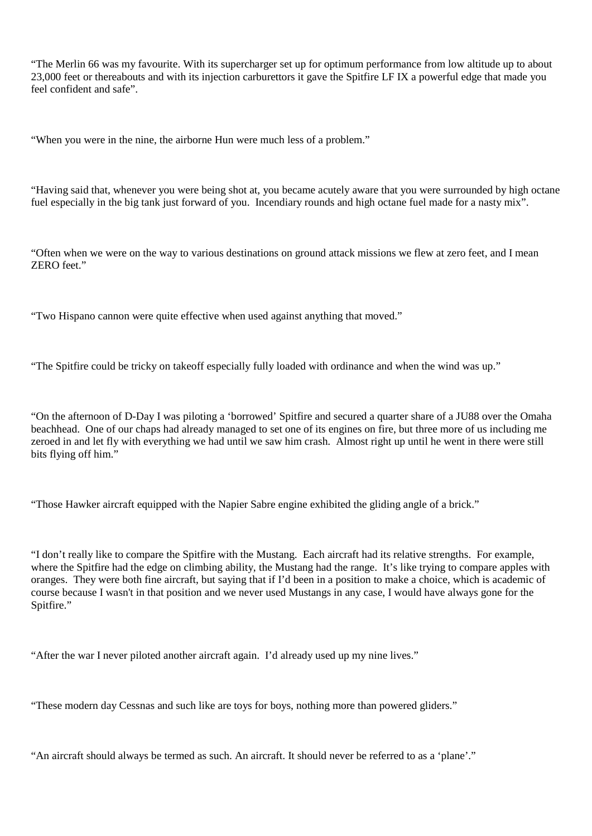"The Merlin 66 was my favourite. With its supercharger set up for optimum performance from low altitude up to about 23,000 feet or thereabouts and with its injection carburettors it gave the Spitfire LF IX a powerful edge that made you feel confident and safe".

"When you were in the nine, the airborne Hun were much less of a problem."

"Having said that, whenever you were being shot at, you became acutely aware that you were surrounded by high octane fuel especially in the big tank just forward of you. Incendiary rounds and high octane fuel made for a nasty mix".

"Often when we were on the way to various destinations on ground attack missions we flew at zero feet, and I mean  $ZERO$  feet."

"Two Hispano cannon were quite effective when used against anything that moved."

"The Spitfire could be tricky on takeoff especially fully loaded with ordinance and when the wind was up."

"On the afternoon of D-Day I was piloting a 'borrowed' Spitfire and secured a quarter share of a JU88 over the Omaha beachhead. One of our chaps had already managed to set one of its engines on fire, but three more of us including me zeroed in and let fly with everything we had until we saw him crash. Almost right up until he went in there were still bits flying off him."

"Those Hawker aircraft equipped with the Napier Sabre engine exhibited the gliding angle of a brick."

"I don't really like to compare the Spitfire with the Mustang. Each aircraft had its relative strengths. For example, where the Spitfire had the edge on climbing ability, the Mustang had the range. It's like trying to compare apples with oranges. They were both fine aircraft, but saying that if I'd been in a position to make a choice, which is academic of course because I wasn't in that position and we never used Mustangs in any case, I would have always gone for the Spitfire."

"After the war I never piloted another aircraft again. I'd already used up my nine lives."

"These modern day Cessnas and such like are toys for boys, nothing more than powered gliders."

"An aircraft should always be termed as such. An aircraft. It should never be referred to as a 'plane'."